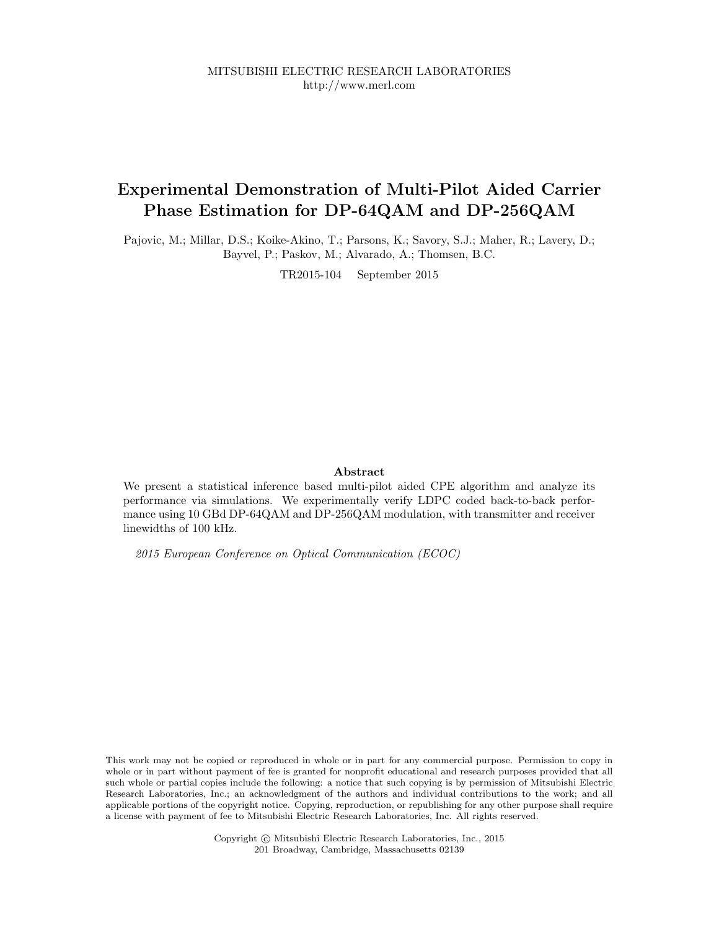MITSUBISHI ELECTRIC RESEARCH LABORATORIES http://www.merl.com

## Experimental Demonstration of Multi-Pilot Aided Carrier Phase Estimation for DP-64QAM and DP-256QAM

Pajovic, M.; Millar, D.S.; Koike-Akino, T.; Parsons, K.; Savory, S.J.; Maher, R.; Lavery, D.; Bayvel, P.; Paskov, M.; Alvarado, A.; Thomsen, B.C.

TR2015-104 September 2015

## Abstract

We present a statistical inference based multi-pilot aided CPE algorithm and analyze its performance via simulations. We experimentally verify LDPC coded back-to-back performance using 10 GBd DP-64QAM and DP-256QAM modulation, with transmitter and receiver linewidths of 100 kHz.

2015 European Conference on Optical Communication (ECOC)

This work may not be copied or reproduced in whole or in part for any commercial purpose. Permission to copy in whole or in part without payment of fee is granted for nonprofit educational and research purposes provided that all such whole or partial copies include the following: a notice that such copying is by permission of Mitsubishi Electric Research Laboratories, Inc.; an acknowledgment of the authors and individual contributions to the work; and all applicable portions of the copyright notice. Copying, reproduction, or republishing for any other purpose shall require a license with payment of fee to Mitsubishi Electric Research Laboratories, Inc. All rights reserved.

> Copyright © Mitsubishi Electric Research Laboratories, Inc., 2015 201 Broadway, Cambridge, Massachusetts 02139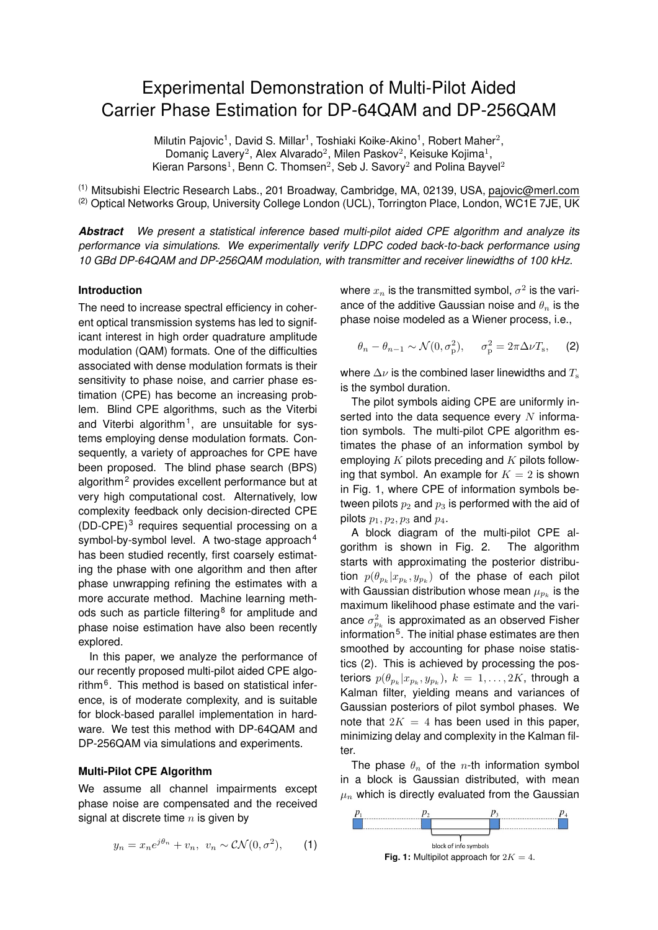# Experimental Demonstration of Multi-Pilot Aided Carrier Phase Estimation for DP-64QAM and DP-256QAM

Milutin Pajovic<sup>1</sup>, David S. Millar<sup>1</sup>, Toshiaki Koike-Akino<sup>1</sup>, Robert Maher<sup>2</sup>, Domaniç Lavery<sup>2</sup>, Alex Alvarado<sup>2</sup>, Milen Paskov<sup>2</sup>, Keisuke Kojima<sup>1</sup>, Kieran Parsons<sup>1</sup>, Benn C. Thomsen<sup>2</sup>, Seb J. Savory<sup>2</sup> and Polina Bayvel<sup>2</sup>

(1) Mitsubishi Electric Research Labs., 201 Broadway, Cambridge, MA, 02139, USA, pajovic@merl.com (2) Optical Networks Group, University College London (UCL), Torrington Place, London, WC1E 7JE, UK

*Abstract We present a statistical inference based multi-pilot aided CPE algorithm and analyze its performance via simulations. We experimentally verify LDPC coded back-to-back performance using 10 GBd DP-64QAM and DP-256QAM modulation, with transmitter and receiver linewidths of 100 kHz.*

## **Introduction**

The need to increase spectral efficiency in coherent optical transmission systems has led to significant interest in high order quadrature amplitude modulation (QAM) formats. One of the difficulties associated with dense modulation formats is their sensitivity to phase noise, and carrier phase estimation (CPE) has become an increasing problem. Blind CPE algorithms, such as the Viterbi and Viterbi algorithm<sup>1</sup>, are unsuitable for systems employing dense modulation formats. Consequently, a variety of approaches for CPE have been proposed. The blind phase search (BPS) algorithm<sup>2</sup> provides excellent performance but at very high computational cost. Alternatively, low complexity feedback only decision-directed CPE  $(DD-CPE)^3$  requires sequential processing on a symbol-by-symbol level. A two-stage approach $4$ has been studied recently, first coarsely estimating the phase with one algorithm and then after phase unwrapping refining the estimates with a more accurate method. Machine learning methods such as particle filtering<sup>8</sup> for amplitude and phase noise estimation have also been recently explored.

In this paper, we analyze the performance of our recently proposed multi-pilot aided CPE algorithm<sup>6</sup>. This method is based on statistical inference, is of moderate complexity, and is suitable for block-based parallel implementation in hardware. We test this method with DP-64QAM and DP-256QAM via simulations and experiments.

### **Multi-Pilot CPE Algorithm**

We assume all channel impairments except phase noise are compensated and the received signal at discrete time  $n$  is given by

$$
y_n = x_n e^{j\theta_n} + v_n, \ v_n \sim \mathcal{CN}(0, \sigma^2), \qquad (1)
$$

where  $x_n$  is the transmitted symbol,  $\sigma^2$  is the variance of the additive Gaussian noise and  $\theta_n$  is the phase noise modeled as a Wiener process, i.e.,

$$
\theta_n - \theta_{n-1} \sim \mathcal{N}(0, \sigma_p^2), \quad \sigma_p^2 = 2\pi \Delta \nu T_s, \quad (2)
$$

where  $\Delta \nu$  is the combined laser linewidths and  $T_s$ is the symbol duration.

The pilot symbols aiding CPE are uniformly inserted into the data sequence every  $N$  information symbols. The multi-pilot CPE algorithm estimates the phase of an information symbol by employing  $K$  pilots preceding and  $K$  pilots following that symbol. An example for  $K = 2$  is shown in Fig. 1, where CPE of information symbols between pilots  $p_2$  and  $p_3$  is performed with the aid of pilots  $p_1, p_2, p_3$  and  $p_4$ .

A block diagram of the multi-pilot CPE algorithm is shown in Fig. 2. The algorithm starts with approximating the posterior distribution  $p(\theta_{p_k}|x_{p_k},y_{p_k})$  of the phase of each pilot with Gaussian distribution whose mean  $\mu_{p_k}$  is the maximum likelihood phase estimate and the variance  $\sigma_{p_k}^2$  is approximated as an observed Fisher information<sup>5</sup>. The initial phase estimates are then smoothed by accounting for phase noise statistics (2). This is achieved by processing the posteriors  $p(\theta_{p_k}|x_{p_k},y_{p_k}),\ k\ =\ 1,\ldots,2K,$  through a Kalman filter, yielding means and variances of Gaussian posteriors of pilot symbol phases. We note that  $2K = 4$  has been used in this paper, minimizing delay and complexity in the Kalman filter.

The phase  $\theta_n$  of the *n*-th information symbol in a block is Gaussian distributed, with mean  $\mu_n$  which is directly evaluated from the Gaussian

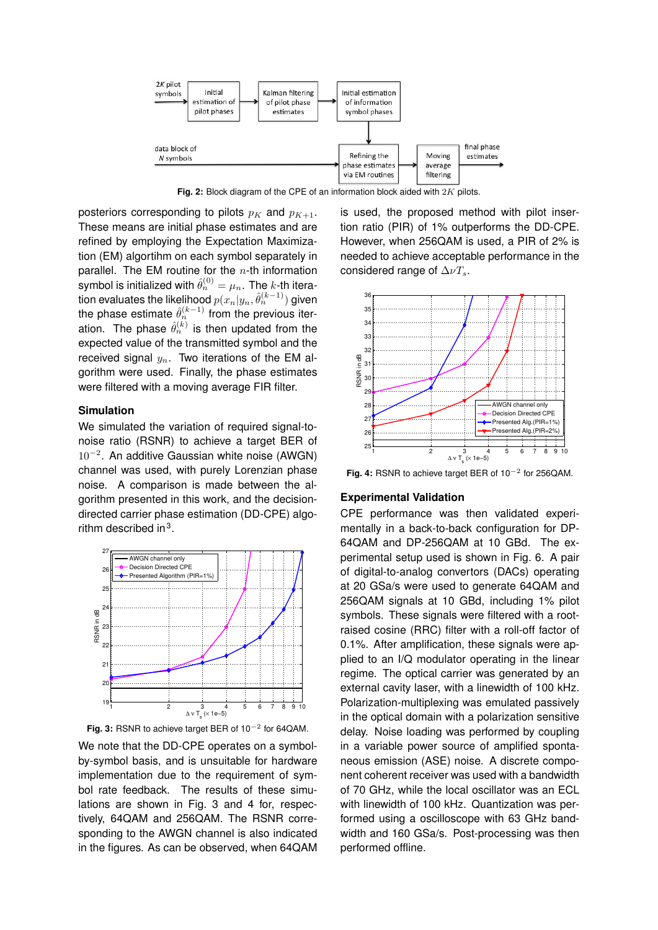

Fig. 2: Block diagram of the CPE of an information block aided with 2K pilots.

posteriors corresponding to pilots  $p_K$  and  $p_{K+1}$ . These means are initial phase estimates and are refined by employing the Expectation Maximization (EM) algortihm on each symbol separately in parallel. The EM routine for the  $n$ -th information symbol is initialized with  $\hat{\theta}_n^{(0)} = \mu_n.$  The  $k$ -th iteration evaluates the likelihood  $p(x_n|y_n,\hat{\theta}_n^{(k-1)})$  given the phase estimate  $\hat{\theta}_n^{(k-1)}$  from the previous iteration. The phase  $\hat{\theta}_n^{(k)}$  is then updated from the expected value of the transmitted symbol and the received signal  $y_n$ . Two iterations of the EM algorithm were used. Finally, the phase estimates were filtered with a moving average FIR filter.

## **Simulation**

We simulated the variation of required signal-tonoise ratio (RSNR) to achieve a target BER of 10<sup>−</sup><sup>2</sup> . An additive Gaussian white noise (AWGN) channel was used, with purely Lorenzian phase noise. A comparison is made between the algorithm presented in this work, and the decisiondirected carrier phase estimation (DD-CPE) algorithm described in $3$ .





We note that the DD-CPE operates on a symbolby-symbol basis, and is unsuitable for hardware implementation due to the requirement of symbol rate feedback. The results of these simulations are shown in Fig. 3 and 4 for, respectively, 64QAM and 256QAM. The RSNR corresponding to the AWGN channel is also indicated in the figures. As can be observed, when 64QAM is used, the proposed method with pilot insertion ratio (PIR) of 1% outperforms the DD-CPE. However, when 256QAM is used, a PIR of 2% is needed to achieve acceptable performance in the considered range of  $\Delta \nu T_s$ .



**Fig. 4:** RSNR to achieve target BER of 10−<sup>2</sup> for 256QAM.

#### **Experimental Validation**

CPE performance was then validated experimentally in a back-to-back configuration for DP-64QAM and DP-256QAM at 10 GBd. The experimental setup used is shown in Fig. 6. A pair of digital-to-analog convertors (DACs) operating at 20 GSa/s were used to generate 64QAM and 256QAM signals at 10 GBd, including 1% pilot symbols. These signals were filtered with a rootraised cosine (RRC) filter with a roll-off factor of 0.1%. After amplification, these signals were applied to an I/Q modulator operating in the linear regime. The optical carrier was generated by an external cavity laser, with a linewidth of 100 kHz. Polarization-multiplexing was emulated passively in the optical domain with a polarization sensitive delay. Noise loading was performed by coupling in a variable power source of amplified spontaneous emission (ASE) noise. A discrete component coherent receiver was used with a bandwidth of 70 GHz, while the local oscillator was an ECL with linewidth of 100 kHz. Quantization was performed using a oscilloscope with 63 GHz bandwidth and 160 GSa/s. Post-processing was then performed offline.